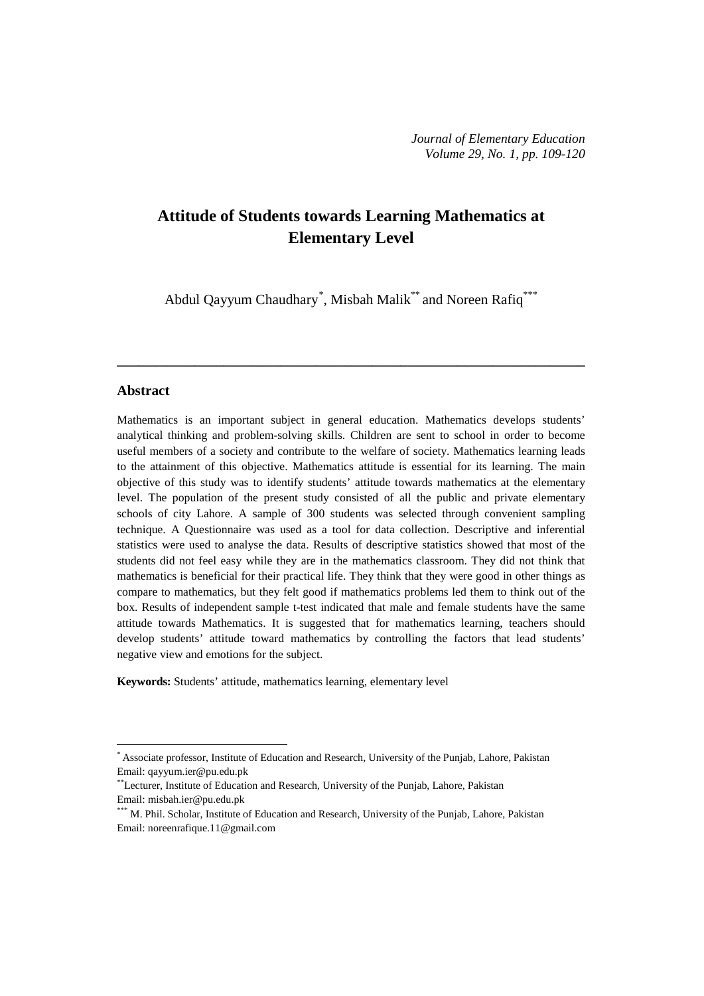# **Attitude of Students towards Learning Mathematics at Elementary Level**

Abdul Qayyum Chaudhary<sup>[\\*](#page-0-0)</sup>, Misbah Malik<sup>\*\*</sup> and Noreen Rafiq<sup>\*\*\*</sup>

**\_\_\_\_\_\_\_\_\_\_\_\_\_\_\_\_\_\_\_\_\_\_\_\_\_\_\_\_\_\_\_\_\_\_\_\_\_\_\_\_\_\_\_\_\_\_\_\_\_\_\_\_\_\_\_\_\_\_\_\_\_\_\_\_\_\_**

#### **Abstract**

 $\overline{a}$ 

Mathematics is an important subject in general education. Mathematics develops students' analytical thinking and problem-solving skills. Children are sent to school in order to become useful members of a society and contribute to the welfare of society. Mathematics learning leads to the attainment of this objective. Mathematics attitude is essential for its learning. The main objective of this study was to identify students' attitude towards mathematics at the elementary level. The population of the present study consisted of all the public and private elementary schools of city Lahore. A sample of 300 students was selected through convenient sampling technique. A Questionnaire was used as a tool for data collection. Descriptive and inferential statistics were used to analyse the data. Results of descriptive statistics showed that most of the students did not feel easy while they are in the mathematics classroom. They did not think that mathematics is beneficial for their practical life. They think that they were good in other things as compare to mathematics, but they felt good if mathematics problems led them to think out of the box. Results of independent sample t-test indicated that male and female students have the same attitude towards Mathematics. It is suggested that for mathematics learning, teachers should develop students' attitude toward mathematics by controlling the factors that lead students' negative view and emotions for the subject.

**Keywords:** Students' attitude, mathematics learning, elementary level

<span id="page-0-0"></span><sup>\*</sup> Associate professor, Institute of Education and Research, University of the Punjab, Lahore, Pakistan Email: [qayyum.ier@pu.edu.pk](mailto:qayyum.ier@pu.edu.pk)

<sup>\*\*</sup>Lecturer, Institute of Education and Research, University of the Punjab, Lahore, Pakistan Email: [misbah.ier@pu.edu.pk](mailto:misbah.ier@pu.edu.pk)

<sup>\*\*\*</sup> M. Phil. Scholar, Institute of Education and Research, University of the Punjab, Lahore, Pakistan Email: [noreenrafique.11@gmail.com](mailto:noreenrafique.11@gmail.com)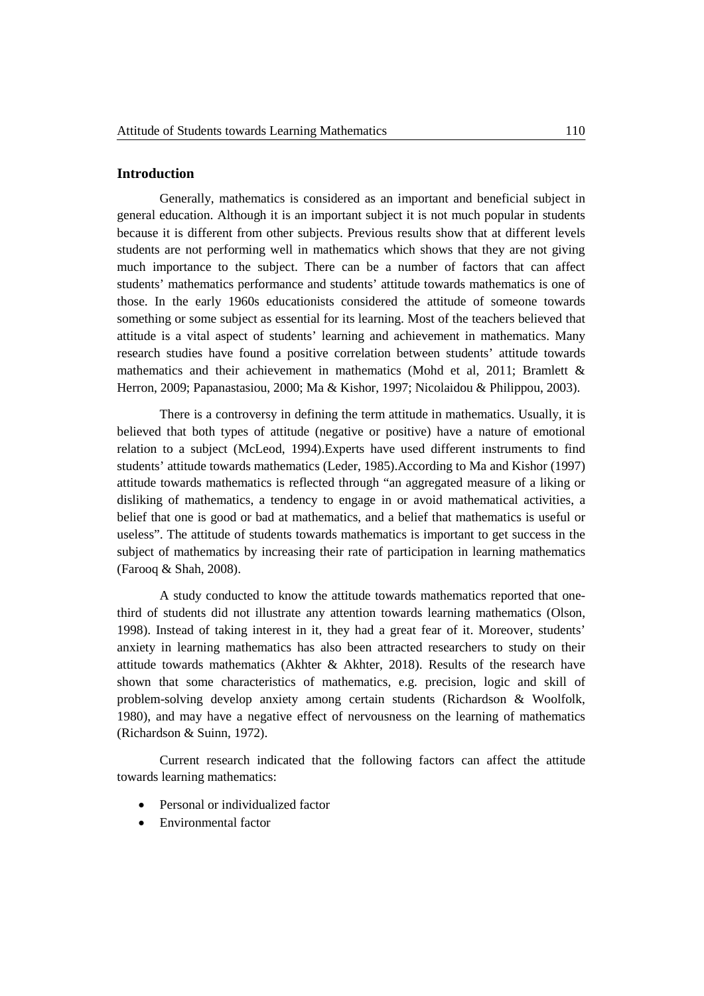# **Introduction**

Generally, mathematics is considered as an important and beneficial subject in general education. Although it is an important subject it is not much popular in students because it is different from other subjects. Previous results show that at different levels students are not performing well in mathematics which shows that they are not giving much importance to the subject. There can be a number of factors that can affect students' mathematics performance and students' attitude towards mathematics is one of those. In the early 1960s educationists considered the attitude of someone towards something or some subject as essential for its learning. Most of the teachers believed that attitude is a vital aspect of students' learning and achievement in mathematics. Many research studies have found a positive correlation between students' attitude towards mathematics and their achievement in mathematics (Mohd et al, 2011; Bramlett & Herron, 2009; Papanastasiou, 2000; Ma & Kishor, 1997; Nicolaidou & Philippou, 2003).

There is a controversy in defining the term attitude in mathematics. Usually, it is believed that both types of attitude (negative or positive) have a nature of emotional relation to a subject (McLeod, 1994).Experts have used different instruments to find students' attitude towards mathematics (Leder, 1985).According to Ma and Kishor (1997) attitude towards mathematics is reflected through "an aggregated measure of a liking or disliking of mathematics, a tendency to engage in or avoid mathematical activities, a belief that one is good or bad at mathematics, and a belief that mathematics is useful or useless". The attitude of students towards mathematics is important to get success in the subject of mathematics by increasing their rate of participation in learning mathematics (Farooq & Shah, 2008).

A study conducted to know the attitude towards mathematics reported that onethird of students did not illustrate any attention towards learning mathematics (Olson, 1998). Instead of taking interest in it, they had a great fear of it. Moreover, students' anxiety in learning mathematics has also been attracted researchers to study on their attitude towards mathematics (Akhter & Akhter, 2018). Results of the research have shown that some characteristics of mathematics, e.g. precision, logic and skill of problem-solving develop anxiety among certain students (Richardson & Woolfolk, 1980), and may have a negative effect of nervousness on the learning of mathematics (Richardson & Suinn, 1972).

Current research indicated that the following factors can affect the attitude towards learning mathematics:

- Personal or individualized factor
- Environmental factor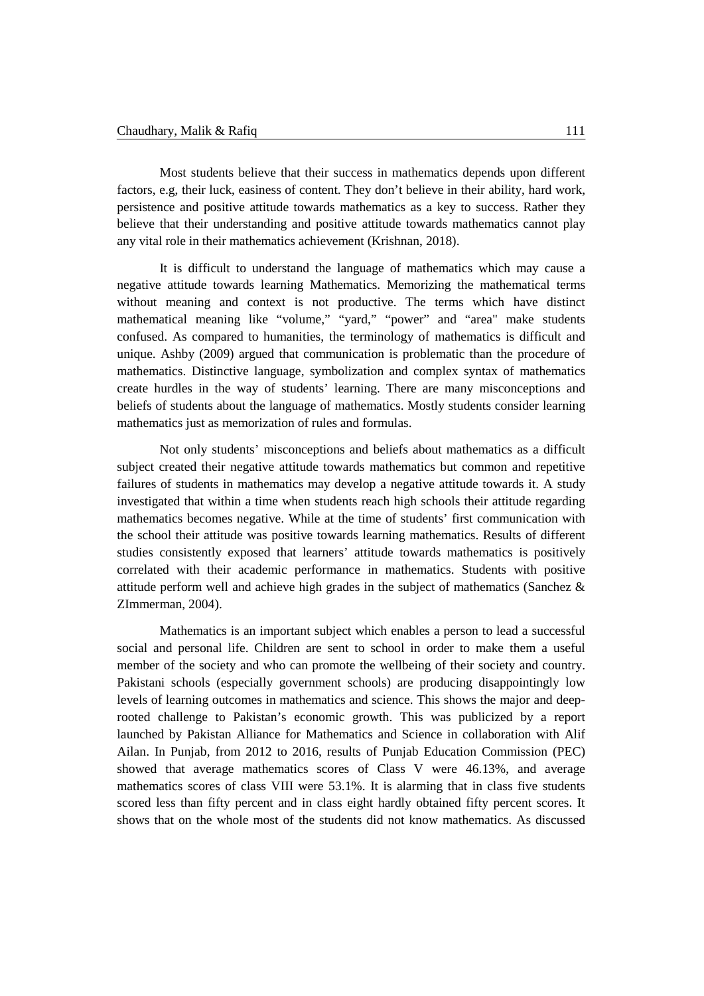Most students believe that their success in mathematics depends upon different factors, e.g, their luck, easiness of content. They don't believe in their ability, hard work, persistence and positive attitude towards mathematics as a key to success. Rather they believe that their understanding and positive attitude towards mathematics cannot play any vital role in their mathematics achievement (Krishnan, 2018).

It is difficult to understand the language of mathematics which may cause a negative attitude towards learning Mathematics. Memorizing the mathematical terms without meaning and context is not productive. The terms which have distinct mathematical meaning like "volume," "yard," "power" and "area" make students confused. As compared to humanities, the terminology of mathematics is difficult and unique. Ashby (2009) argued that communication is problematic than the procedure of mathematics. Distinctive language, symbolization and complex syntax of mathematics create hurdles in the way of students' learning. There are many misconceptions and beliefs of students about the language of mathematics. Mostly students consider learning mathematics just as memorization of rules and formulas.

Not only students' misconceptions and beliefs about mathematics as a difficult subject created their negative attitude towards mathematics but common and repetitive failures of students in mathematics may develop a negative attitude towards it. A study investigated that within a time when students reach high schools their attitude regarding mathematics becomes negative. While at the time of students' first communication with the school their attitude was positive towards learning mathematics. Results of different studies consistently exposed that learners' attitude towards mathematics is positively correlated with their academic performance in mathematics. Students with positive attitude perform well and achieve high grades in the subject of mathematics (Sanchez & ZImmerman, 2004).

Mathematics is an important subject which enables a person to lead a successful social and personal life. Children are sent to school in order to make them a useful member of the society and who can promote the wellbeing of their society and country. Pakistani schools (especially government schools) are producing disappointingly low levels of learning outcomes in mathematics and science. This shows the major and deeprooted challenge to Pakistan's economic growth. This was publicized by a report launched by Pakistan Alliance for Mathematics and Science in collaboration with Alif Ailan. In Punjab, from 2012 to 2016, results of Punjab Education Commission (PEC) showed that average mathematics scores of Class V were 46.13%, and average mathematics scores of class VIII were 53.1%. It is alarming that in class five students scored less than fifty percent and in class eight hardly obtained fifty percent scores. It shows that on the whole most of the students did not know mathematics. As discussed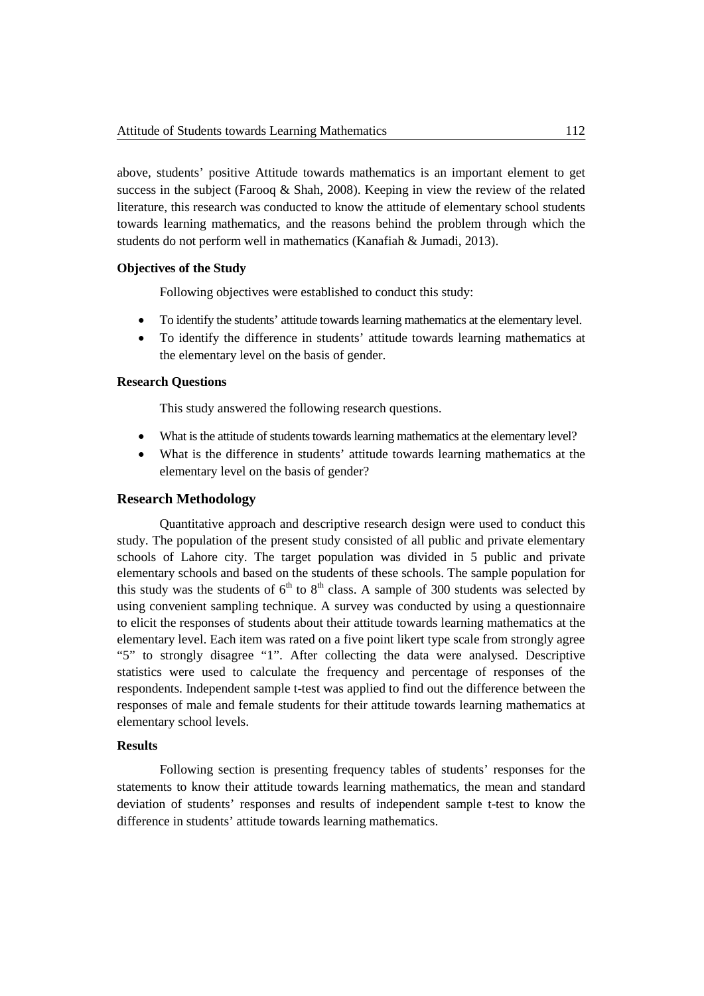above, students' positive Attitude towards mathematics is an important element to get success in the subject (Farooq & Shah, 2008). Keeping in view the review of the related literature, this research was conducted to know the attitude of elementary school students towards learning mathematics, and the reasons behind the problem through which the students do not perform well in mathematics (Kanafiah & Jumadi, 2013).

### **Objectives of the Study**

Following objectives were established to conduct this study:

- To identify the students' attitude towardslearning mathematics at the elementary level.
- To identify the difference in students' attitude towards learning mathematics at the elementary level on the basis of gender.

# **Research Questions**

This study answered the following research questions.

- What is the attitude of students towards learning mathematics at the elementary level?
- What is the difference in students' attitude towards learning mathematics at the elementary level on the basis of gender?

# **Research Methodology**

Quantitative approach and descriptive research design were used to conduct this study. The population of the present study consisted of all public and private elementary schools of Lahore city. The target population was divided in 5 public and private elementary schools and based on the students of these schools. The sample population for this study was the students of  $6<sup>th</sup>$  to  $8<sup>th</sup>$  class. A sample of 300 students was selected by using convenient sampling technique. A survey was conducted by using a questionnaire to elicit the responses of students about their attitude towards learning mathematics at the elementary level. Each item was rated on a five point likert type scale from strongly agree "5" to strongly disagree "1". After collecting the data were analysed. Descriptive statistics were used to calculate the frequency and percentage of responses of the respondents. Independent sample t-test was applied to find out the difference between the responses of male and female students for their attitude towards learning mathematics at elementary school levels.

### **Results**

Following section is presenting frequency tables of students' responses for the statements to know their attitude towards learning mathematics, the mean and standard deviation of students' responses and results of independent sample t-test to know the difference in students' attitude towards learning mathematics.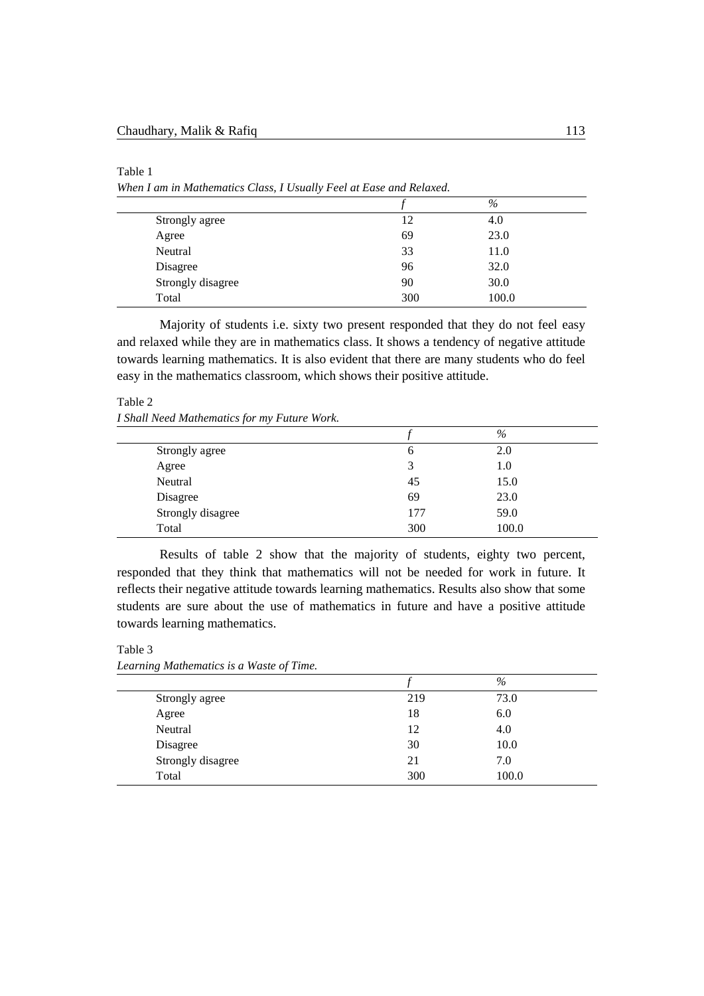#### Table 1

*When I am in Mathematics Class, I Usually Feel at Ease and Relaxed.*

|                   |     | $\%$  |  |
|-------------------|-----|-------|--|
| Strongly agree    | 12  | 4.0   |  |
| Agree             | 69  | 23.0  |  |
| Neutral           | 33  | 11.0  |  |
| Disagree          | 96  | 32.0  |  |
| Strongly disagree | 90  | 30.0  |  |
| Total             | 300 | 100.0 |  |

Majority of students i.e. sixty two present responded that they do not feel easy and relaxed while they are in mathematics class. It shows a tendency of negative attitude towards learning mathematics. It is also evident that there are many students who do feel easy in the mathematics classroom, which shows their positive attitude.

### Table 2

*I Shall Need Mathematics for my Future Work.*

|                   |     | $\%$  |
|-------------------|-----|-------|
| Strongly agree    |     | 2.0   |
| Agree             |     | 1.0   |
| Neutral           | 45  | 15.0  |
| Disagree          | 69  | 23.0  |
| Strongly disagree | 177 | 59.0  |
| Total             | 300 | 100.0 |

Results of table 2 show that the majority of students, eighty two percent, responded that they think that mathematics will not be needed for work in future. It reflects their negative attitude towards learning mathematics. Results also show that some students are sure about the use of mathematics in future and have a positive attitude towards learning mathematics.

Table 3 *Learning Mathematics is a Waste of Time.*

|                   |     | $\%$  |  |
|-------------------|-----|-------|--|
| Strongly agree    | 219 | 73.0  |  |
| Agree             | 18  | 6.0   |  |
| Neutral           | 12  | 4.0   |  |
| Disagree          | 30  | 10.0  |  |
| Strongly disagree | 21  | 7.0   |  |
| Total             | 300 | 100.0 |  |
|                   |     |       |  |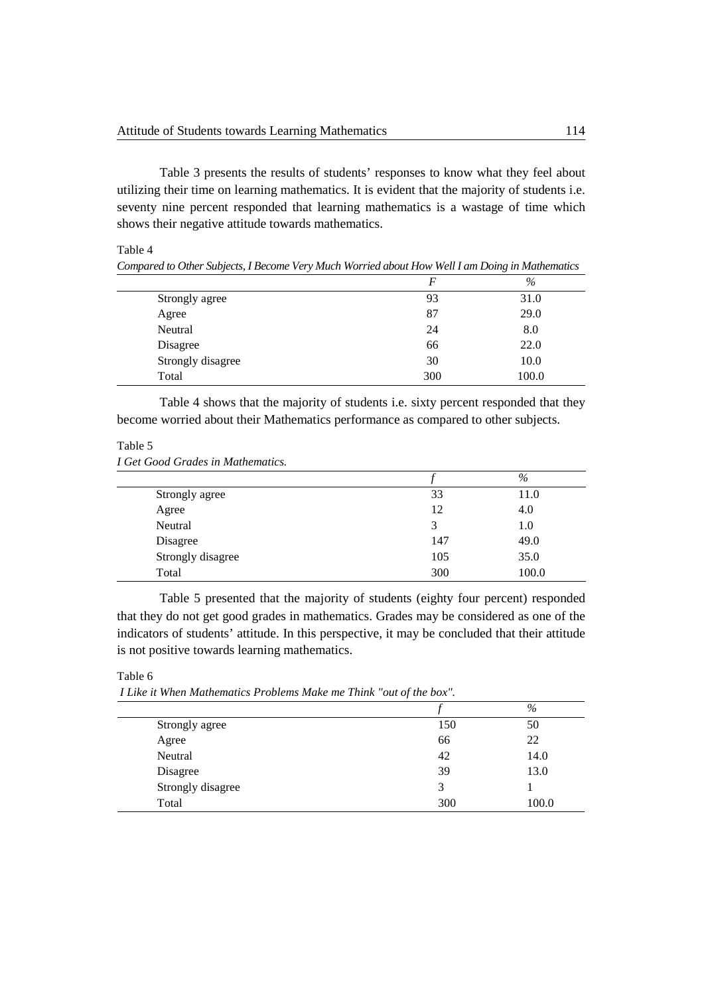Table 3 presents the results of students' responses to know what they feel about utilizing their time on learning mathematics. It is evident that the majority of students i.e. seventy nine percent responded that learning mathematics is a wastage of time which shows their negative attitude towards mathematics.

Table 4

|                   | $\bm{F}$ | $\%$  |
|-------------------|----------|-------|
| Strongly agree    | 93       | 31.0  |
| Agree             | 87       | 29.0  |
| Neutral           | 24       | 8.0   |
| Disagree          | 66       | 22.0  |
| Strongly disagree | 30       | 10.0  |
| Total             | 300      | 100.0 |

*Compared to Other Subjects, I Become Very Much Worried about How Well I am Doing in Mathematics*

Table 4 shows that the majority of students i.e. sixty percent responded that they become worried about their Mathematics performance as compared to other subjects.

# Table 5

|  |  |  |  | I Get Good Grades in Mathematics. |  |
|--|--|--|--|-----------------------------------|--|
|--|--|--|--|-----------------------------------|--|

|                   |     | $\%$  |
|-------------------|-----|-------|
| Strongly agree    | 33  | 11.0  |
| Agree             | 12  | 4.0   |
| Neutral           | 3   | 1.0   |
| Disagree          | 147 | 49.0  |
| Strongly disagree | 105 | 35.0  |
| Total             | 300 | 100.0 |

Table 5 presented that the majority of students (eighty four percent) responded that they do not get good grades in mathematics. Grades may be considered as one of the indicators of students' attitude. In this perspective, it may be concluded that their attitude is not positive towards learning mathematics.

Table 6

*I Like it When Mathematics Problems Make me Think "out of the box".*

|                   |     | $\%$  |
|-------------------|-----|-------|
| Strongly agree    | 150 | 50    |
| Agree             | 66  | 22    |
| Neutral           | 42  | 14.0  |
| Disagree          | 39  | 13.0  |
| Strongly disagree | 3   |       |
| Total             | 300 | 100.0 |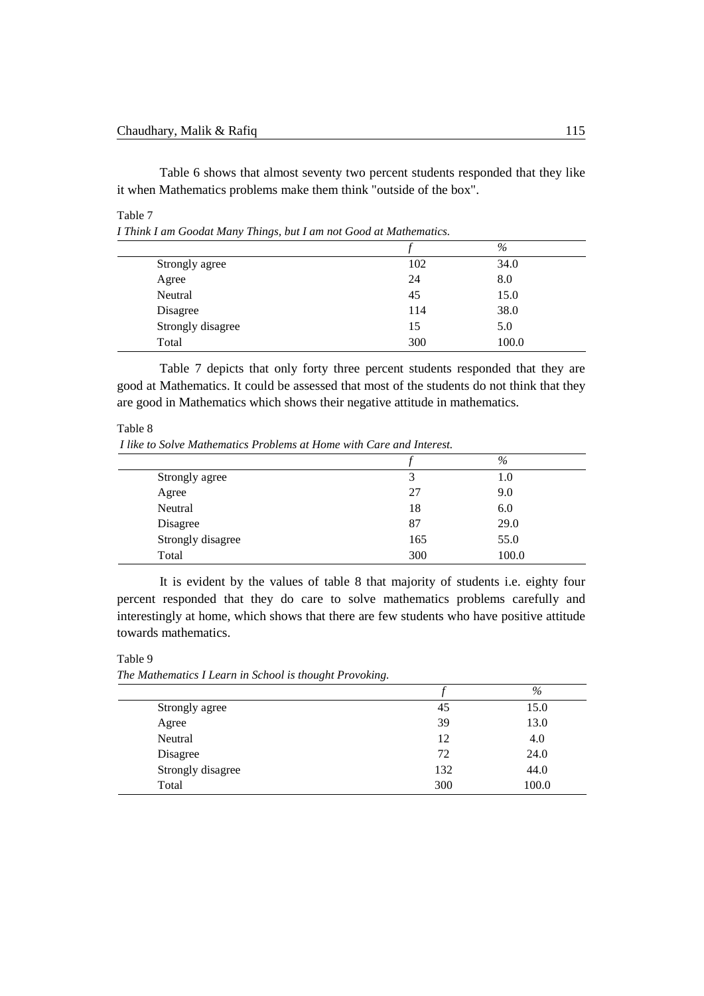Table 6 shows that almost seventy two percent students responded that they like it when Mathematics problems make them think "outside of the box".

#### Table 7

*I Think I am Goodat Many Things, but I am not Good at Mathematics.*

|                   |     | $\%$  |
|-------------------|-----|-------|
| Strongly agree    | 102 | 34.0  |
| Agree             | 24  | 8.0   |
| Neutral           | 45  | 15.0  |
| Disagree          | 114 | 38.0  |
| Strongly disagree | 15  | 5.0   |
| Total             | 300 | 100.0 |

Table 7 depicts that only forty three percent students responded that they are good at Mathematics. It could be assessed that most of the students do not think that they are good in Mathematics which shows their negative attitude in mathematics.

Table 8

*I like to Solve Mathematics Problems at Home with Care and Interest.*

|                   |     | $\%$    |
|-------------------|-----|---------|
| Strongly agree    | 3   | $1.0\,$ |
| Agree             | 27  | 9.0     |
| Neutral           | 18  | 6.0     |
| Disagree          | 87  | 29.0    |
| Strongly disagree | 165 | 55.0    |
| Total             | 300 | 100.0   |
|                   |     |         |

It is evident by the values of table 8 that majority of students i.e. eighty four percent responded that they do care to solve mathematics problems carefully and interestingly at home, which shows that there are few students who have positive attitude towards mathematics.

Table 9

*The Mathematics I Learn in School is thought Provoking.*

|                   |     | $\%$  |
|-------------------|-----|-------|
| Strongly agree    | 45  | 15.0  |
| Agree             | 39  | 13.0  |
| Neutral           | 12  | 4.0   |
| Disagree          | 72  | 24.0  |
| Strongly disagree | 132 | 44.0  |
| Total             | 300 | 100.0 |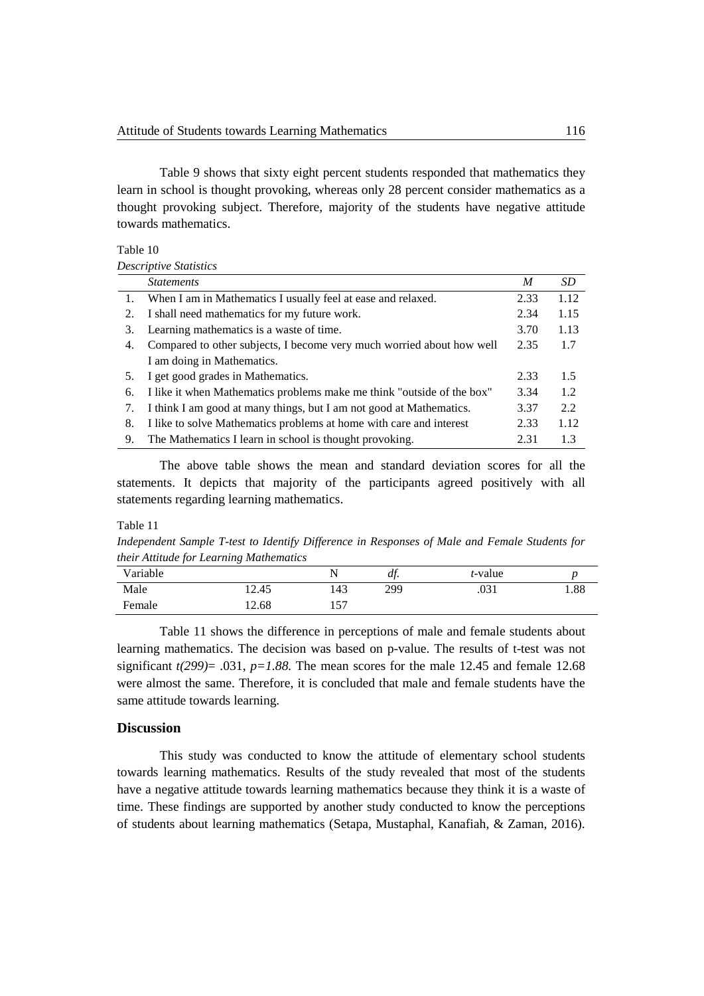Table 9 shows that sixty eight percent students responded that mathematics they learn in school is thought provoking, whereas only 28 percent consider mathematics as a thought provoking subject. Therefore, majority of the students have negative attitude towards mathematics.

| Table 10 |  |
|----------|--|
|----------|--|

*Descriptive Statistics*

|    | <i>Statements</i>                                                      | M    | SD   |
|----|------------------------------------------------------------------------|------|------|
| 1. | When I am in Mathematics I usually feel at ease and relaxed.           | 2.33 | 1.12 |
| 2. | I shall need mathematics for my future work.                           | 2.34 | 1.15 |
| 3. | Learning mathematics is a waste of time.                               | 3.70 | 1.13 |
| 4. | Compared to other subjects, I become very much worried about how well  | 2.35 | 1.7  |
|    | I am doing in Mathematics.                                             |      |      |
| 5. | I get good grades in Mathematics.                                      | 2.33 | 1.5  |
| 6. | I like it when Mathematics problems make me think "outside of the box" | 3.34 | 1.2  |
| 7. | I think I am good at many things, but I am not good at Mathematics.    | 3.37 | 2.2  |
| 8. | I like to solve Mathematics problems at home with care and interest    | 2.33 | 1.12 |
| 9. | The Mathematics I learn in school is thought provoking.                | 2.31 | 1.3  |

The above table shows the mean and standard deviation scores for all the statements. It depicts that majority of the participants agreed positively with all statements regarding learning mathematics.

#### Table 11

*Independent Sample T-test to Identify Difference in Responses of Male and Female Students for their Attitude for Learning Mathematics* 

| Variable |       |     | df. | <i>t</i> -value |      |
|----------|-------|-----|-----|-----------------|------|
| Male     | 12.45 | 143 | 299 | .031            | 1.88 |
| Female   | .2.68 | 157 |     |                 |      |

Table 11 shows the difference in perceptions of male and female students about learning mathematics. The decision was based on p-value. The results of t-test was not significant  $t(299)$ = .031,  $p=1.88$ . The mean scores for the male 12.45 and female 12.68 were almost the same. Therefore, it is concluded that male and female students have the same attitude towards learning.

# **Discussion**

This study was conducted to know the attitude of elementary school students towards learning mathematics. Results of the study revealed that most of the students have a negative attitude towards learning mathematics because they think it is a waste of time. These findings are supported by another study conducted to know the perceptions of students about learning mathematics (Setapa, Mustaphal, Kanafiah, & Zaman, 2016).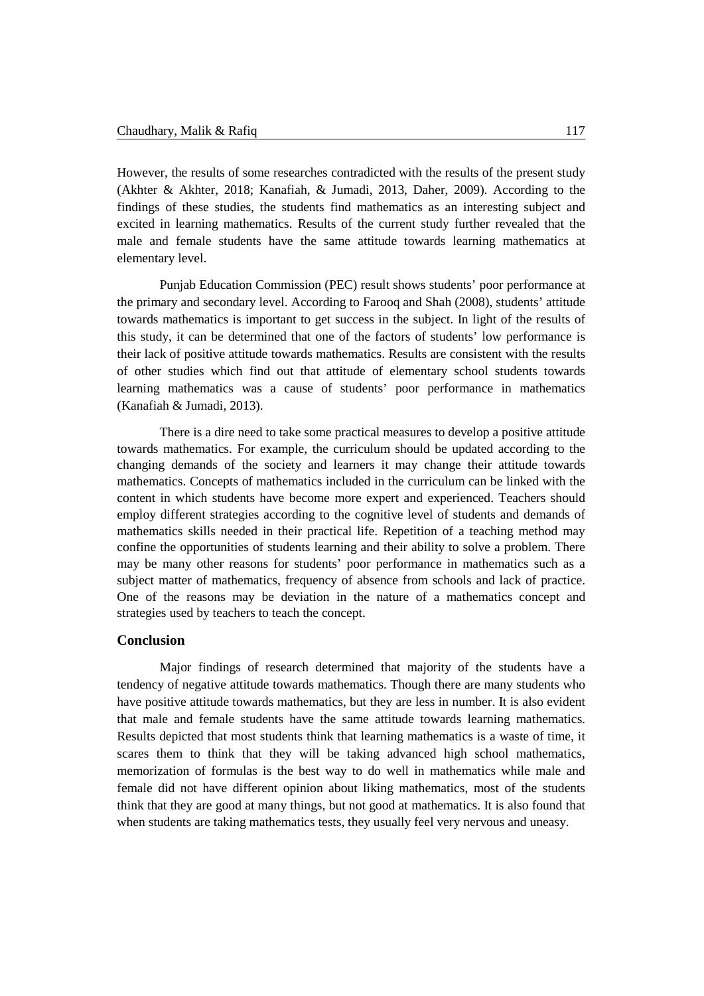However, the results of some researches contradicted with the results of the present study (Akhter & Akhter, 2018; Kanafiah, & Jumadi, 2013, Daher, 2009). According to the findings of these studies, the students find mathematics as an interesting subject and excited in learning mathematics. Results of the current study further revealed that the male and female students have the same attitude towards learning mathematics at elementary level.

Punjab Education Commission (PEC) result shows students' poor performance at the primary and secondary level. According to Farooq and Shah (2008), students' attitude towards mathematics is important to get success in the subject. In light of the results of this study, it can be determined that one of the factors of students' low performance is their lack of positive attitude towards mathematics. Results are consistent with the results of other studies which find out that attitude of elementary school students towards learning mathematics was a cause of students' poor performance in mathematics (Kanafiah & Jumadi, 2013).

There is a dire need to take some practical measures to develop a positive attitude towards mathematics. For example, the curriculum should be updated according to the changing demands of the society and learners it may change their attitude towards mathematics. Concepts of mathematics included in the curriculum can be linked with the content in which students have become more expert and experienced. Teachers should employ different strategies according to the cognitive level of students and demands of mathematics skills needed in their practical life. Repetition of a teaching method may confine the opportunities of students learning and their ability to solve a problem. There may be many other reasons for students' poor performance in mathematics such as a subject matter of mathematics, frequency of absence from schools and lack of practice. One of the reasons may be deviation in the nature of a mathematics concept and strategies used by teachers to teach the concept.

#### **Conclusion**

Major findings of research determined that majority of the students have a tendency of negative attitude towards mathematics. Though there are many students who have positive attitude towards mathematics, but they are less in number. It is also evident that male and female students have the same attitude towards learning mathematics. Results depicted that most students think that learning mathematics is a waste of time, it scares them to think that they will be taking advanced high school mathematics, memorization of formulas is the best way to do well in mathematics while male and female did not have different opinion about liking mathematics, most of the students think that they are good at many things, but not good at mathematics. It is also found that when students are taking mathematics tests, they usually feel very nervous and uneasy.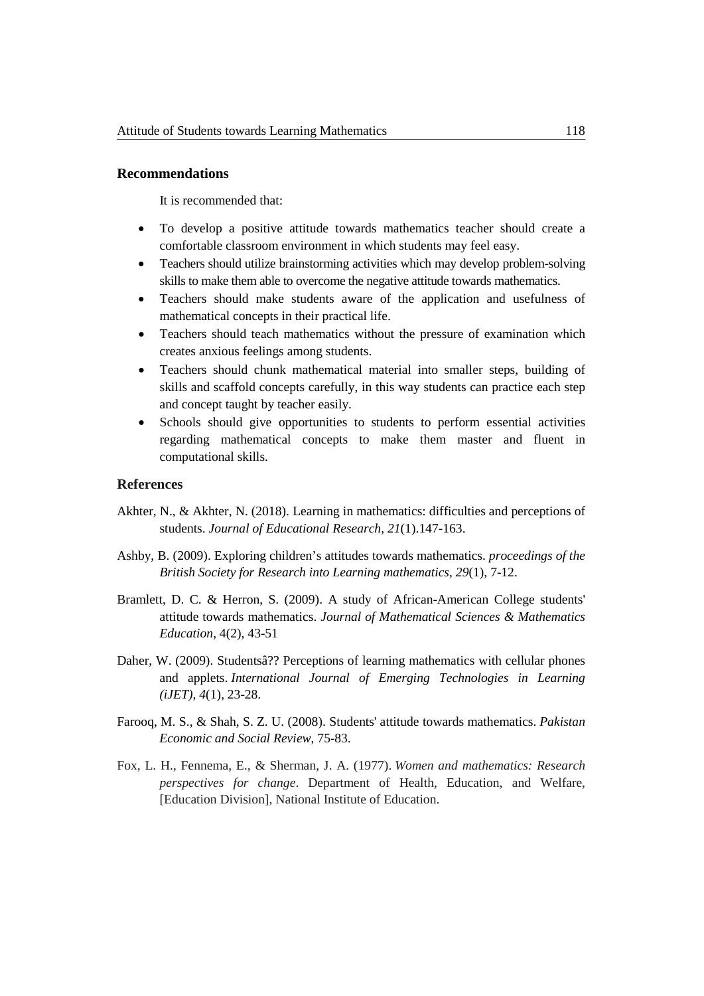#### **Recommendations**

It is recommended that:

- To develop a positive attitude towards mathematics teacher should create a comfortable classroom environment in which students may feel easy.
- Teachers should utilize brainstorming activities which may develop problem-solving skills to make them able to overcome the negative attitude towards mathematics.
- Teachers should make students aware of the application and usefulness of mathematical concepts in their practical life.
- Teachers should teach mathematics without the pressure of examination which creates anxious feelings among students.
- Teachers should chunk mathematical material into smaller steps, building of skills and scaffold concepts carefully, in this way students can practice each step and concept taught by teacher easily.
- Schools should give opportunities to students to perform essential activities regarding mathematical concepts to make them master and fluent in computational skills.

# **References**

- Akhter, N., & Akhter, N. (2018). Learning in mathematics: difficulties and perceptions of students. *Journal of Educational Research*, *21*(1).147-163.
- Ashby, B. (2009). Exploring children's attitudes towards mathematics. *proceedings of the British Society for Research into Learning mathematics*, *29*(1), 7-12.
- Bramlett, D. C. & Herron, S. (2009). A study of African-American College students' attitude towards mathematics. *Journal of Mathematical Sciences & Mathematics Education*, 4(2), 43-51
- Daher, W. (2009). Studentsâ?? Perceptions of learning mathematics with cellular phones and applets. *International Journal of Emerging Technologies in Learning (iJET)*, *4*(1), 23-28.
- Farooq, M. S., & Shah, S. Z. U. (2008). Students' attitude towards mathematics. *Pakistan Economic and Social Review*, 75-83.
- Fox, L. H., Fennema, E., & Sherman, J. A. (1977). *Women and mathematics: Research perspectives for change*. Department of Health, Education, and Welfare, [Education Division], National Institute of Education.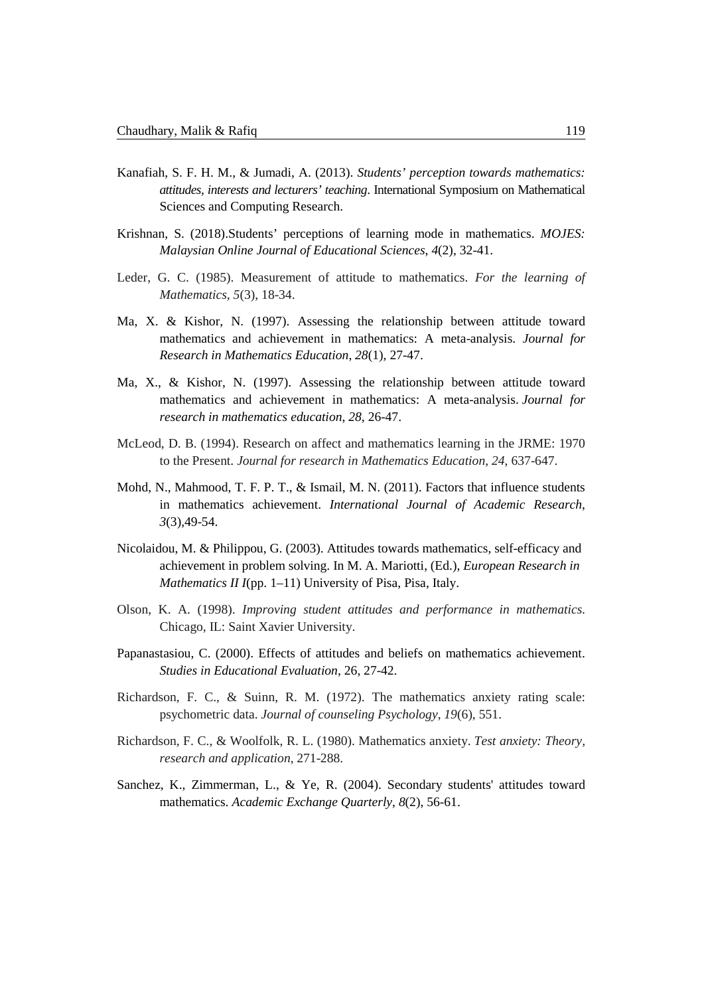- Kanafiah, S. F. H. M., & Jumadi, A. (2013). *Students' perception towards mathematics: attitudes, interests and lecturers' teaching*. International Symposium on Mathematical Sciences and Computing Research.
- Krishnan, S. (2018).Students' perceptions of learning mode in mathematics. *MOJES: Malaysian Online Journal of Educational Sciences*, *4*(2), 32-41.
- Leder, G. C. (1985). Measurement of attitude to mathematics. *For the learning of Mathematics*, *5*(3), 18-34.
- Ma, X. & Kishor, N. (1997). Assessing the relationship between attitude toward mathematics and achievement in mathematics: A meta-analysis. *Journal for Research in Mathematics Education*, *28*(1), 27-47.
- Ma, X., & Kishor, N. (1997). Assessing the relationship between attitude toward mathematics and achievement in mathematics: A meta-analysis. *Journal for research in mathematics education*, *28*, 26-47.
- McLeod, D. B. (1994). Research on affect and mathematics learning in the JRME: 1970 to the Present. *Journal for research in Mathematics Education*, *24*, 637-647.
- Mohd, N., Mahmood, T. F. P. T., & Ismail, M. N. (2011). Factors that influence students in mathematics achievement. *International Journal of Academic Research*, *3*(3),49-54.
- Nicolaidou, M. & Philippou, G. (2003). Attitudes towards mathematics, self-efficacy and achievement in problem solving. In M. A. Mariotti, (Ed.), *European Research in Mathematics II I*(pp. 1–11) University of Pisa, Pisa, Italy.
- Olson, K. A. (1998). *Improving student attitudes and performance in mathematics*. Chicago, IL: Saint Xavier University.
- Papanastasiou, C. (2000). Effects of attitudes and beliefs on mathematics achievement. *Studies in Educational Evaluation*, 26, 27-42.
- Richardson, F. C., & Suinn, R. M. (1972). The mathematics anxiety rating scale: psychometric data. *Journal of counseling Psychology*, *19*(6), 551.
- Richardson, F. C., & Woolfolk, R. L. (1980). Mathematics anxiety. *Test anxiety: Theory, research and application*, 271-288.
- Sanchez, K., Zimmerman, L., & Ye, R. (2004). Secondary students' attitudes toward mathematics. *Academic Exchange Quarterly*, *8*(2), 56-61.